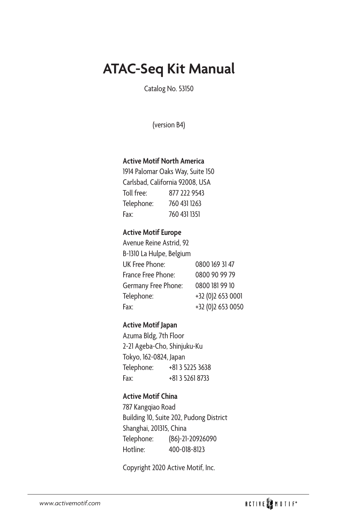# **ATAC-Seq Kit Manual**

Catalog No. 53150

(version B4)

### **Active Motif North America**

1914 Palomar Oaks Way, Suite 150 Carlsbad, California 92008, USA Toll free: 877 222 9543 Telephone: 760 431 1263 Fax: 760 431 1351

### **Active Motif Europe**

| Avenue Reine Astrid, 92  |                   |
|--------------------------|-------------------|
| B-1310 La Hulpe, Belgium |                   |
| UK Free Phone:           | 0800 169 31 47    |
| France Free Phone:       | 0800 90 99 79     |
| Germany Free Phone:      | 0800 181 99 10    |
| Telephone:               | +32 (0)2 653 0001 |
| Fax:                     | +32 (0)2 653 0050 |

### **Active Motif Japan**

Azuma Bldg, 7th Floor 2-21 Ageba-Cho, Shinjuku-Ku Tokyo, 162-0824, Japan Telephone: +81 3 5225 3638 Fax: +81 3 5261 8733

### **Active Motif China**

787 Kangqiao Road Building 10, Suite 202, Pudong District Shanghai, 201315, China Telephone: (86)-21-20926090 Hotline: 400-018-8123

Copyright 2020 Active Motif, Inc.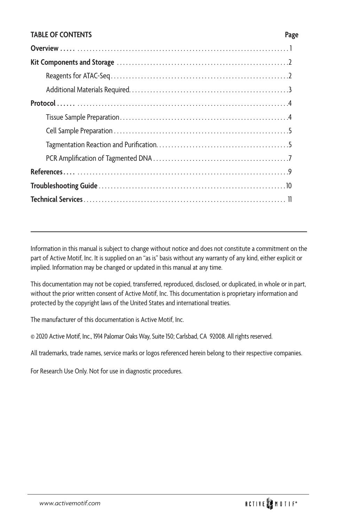#### **TABLE OF CONTENTS Page**

Information in this manual is subject to change without notice and does not constitute a commitment on the part of Active Motif, Inc. It is supplied on an "as is" basis without any warranty of any kind, either explicit or implied. Information may be changed or updated in this manual at any time.

This documentation may not be copied, transferred, reproduced, disclosed, or duplicated, in whole or in part, without the prior written consent of Active Motif, Inc. This documentation is proprietary information and protected by the copyright laws of the United States and international treaties.

The manufacturer of this documentation is Active Motif, Inc.

© 2020 Active Motif, Inc., 1914 Palomar Oaks Way, Suite 150; Carlsbad, CA 92008. All rights reserved.

All trademarks, trade names, service marks or logos referenced herein belong to their respective companies.

For Research Use Only. Not for use in diagnostic procedures.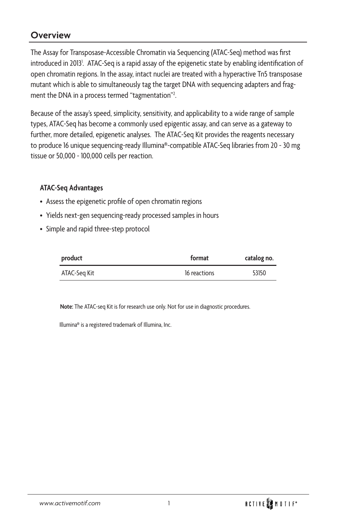### **Overview**

The Assay for Transposase-Accessible Chromatin via Sequencing (ATAC-Seq) method was first introduced in 2013<sup>1</sup>. ATAC-Seq is a rapid assay of the epigenetic state by enabling identification of open chromatin regions. In the assay, intact nuclei are treated with a hyperactive Tn5 transposase mutant which is able to simultaneously tag the target DNA with sequencing adapters and fragment the DNA in a process termed "tagmentation"<sup>2</sup>.

Because of the assay's speed, simplicity, sensitivity, and applicability to a wide range of sample types, ATAC-Seq has become a commonly used epigentic assay, and can serve as a gateway to further, more detailed, epigenetic analyses. The ATAC-Seq Kit provides the reagents necessary to produce 16 unique sequencing-ready Illumina®-compatible ATAC-Seq libraries from 20 - 30 mg tissue or 50,000 - 100,000 cells per reaction.

### **ATAC-Seq Advantages**

- Assess the epigenetic profile of open chromatin regions
- Yields next-gen sequencing-ready processed samples in hours
- Simple and rapid three-step protocol

| product      | format       | catalog no. |
|--------------|--------------|-------------|
| ATAC-Seg Kit | 16 reactions | 53150       |

**Note:** The ATAC-seq Kit is for research use only. Not for use in diagnostic procedures.

Illumina® is a registered trademark of Illumina, Inc.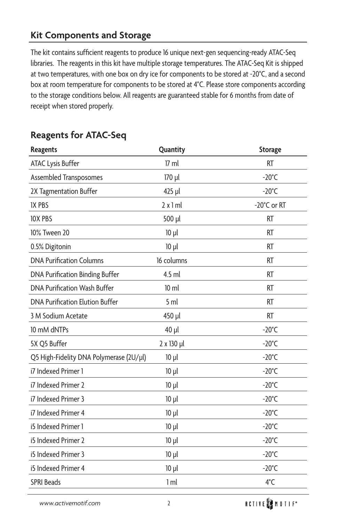### **Kit Components and Storage**

The kit contains sufficient reagents to produce 16 unique next-gen sequencing-ready ATAC-Seq libraries. The reagents in this kit have multiple storage temperatures. The ATAC-Seq Kit is shipped at two temperatures, with one box on dry ice for components to be stored at -20°C, and a second box at room temperature for components to be stored at 4°C. Please store components according to the storage conditions below. All reagents are guaranteed stable for 6 months from date of receipt when stored properly.

| <b>Reagents</b>                         | Quantity        | <b>Storage</b>  |
|-----------------------------------------|-----------------|-----------------|
| <b>ATAC Lysis Buffer</b>                | $17 \text{ ml}$ | <b>RT</b>       |
| Assembled Transposomes                  | 170 µl          | $-20^{\circ}$ C |
| 2X Tagmentation Buffer                  | 425 µl          | $-20^{\circ}$ C |
| <b>IX PBS</b>                           | 2x1ml           | -20°C or RT     |
| <b>10X PBS</b>                          | 500 µl          | <b>RT</b>       |
| 10% Tween 20                            | $10 \mu l$      | <b>RT</b>       |
| 0.5% Digitonin                          | $10 \mu l$      | <b>RT</b>       |
| <b>DNA Purification Columns</b>         | 16 columns      | <b>RT</b>       |
| DNA Purification Binding Buffer         | $4.5$ ml        | <b>RT</b>       |
| <b>DNA Purification Wash Buffer</b>     | $10 \mathrm{m}$ | <b>RT</b>       |
| <b>DNA Purification Elution Buffer</b>  | 5 <sub>ml</sub> | <b>RT</b>       |
| 3 M Sodium Acetate                      | 450 µl          | <b>RT</b>       |
| 10 mM dNTPs                             | 40 µl           | $-20^{\circ}$ C |
| 5X Q5 Buffer                            | 2 x 130 µl      | $-20^{\circ}$ C |
| Q5 High-Fidelity DNA Polymerase (2U/µl) | $10 \mu l$      | $-20^{\circ}$ C |
| i7 Indexed Primer 1                     | $10 \mu l$      | $-20^{\circ}$ C |
| i7 Indexed Primer 2                     | $10 \mu l$      | $-20^{\circ}$ C |
| i7 Indexed Primer 3                     | $10 \mu l$      | $-20^{\circ}$ C |
| i7 Indexed Primer 4                     | 10 µl           | $-20^{\circ}$ C |
| i5 Indexed Primer 1                     | $10 \mu l$      | $-20^{\circ}$ C |
| i5 Indexed Primer 2                     | $10 \mu l$      | $-20^{\circ}$ C |
| i5 Indexed Primer 3                     | $10 \mu l$      | $-20^{\circ}$ C |
| i5 Indexed Primer 4                     | $10 \mu l$      | $-20^{\circ}$ C |
| <b>SPRI Beads</b>                       | 1 <sub>m</sub>  | 4°C             |

## **Reagents for ATAC-Seq**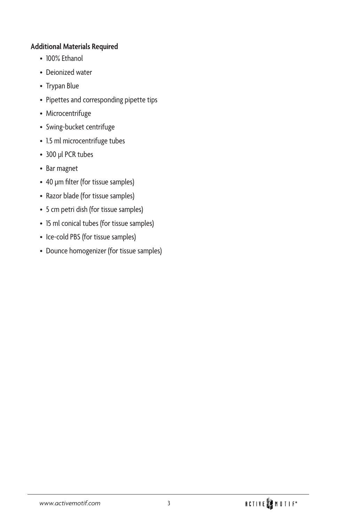### **Additional Materials Required**

- 100% Ethanol
- Deionized water
- Trypan Blue
- Pipettes and corresponding pipette tips
- Microcentrifuge
- Swing-bucket centrifuge
- 1.5 ml microcentrifuge tubes
- 300 µl PCR tubes
- Bar magnet
- 40 µm filter (for tissue samples)
- Razor blade (for tissue samples)
- 5 cm petri dish (for tissue samples)
- 15 ml conical tubes (for tissue samples)
- Ice-cold PBS (for tissue samples)
- Dounce homogenizer (for tissue samples)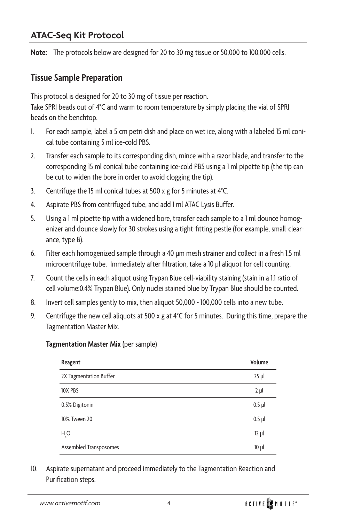## **ATAC-Seq Kit Protocol**

**Note:** The protocols below are designed for 20 to 30 mg tissue or 50,000 to 100,000 cells.

### **Tissue Sample Preparation**

This protocol is designed for 20 to 30 mg of tissue per reaction.

Take SPRI beads out of 4°C and warm to room temperature by simply placing the vial of SPRI beads on the benchtop.

- 1. For each sample, label a 5 cm petri dish and place on wet ice, along with a labeled 15 ml conical tube containing 5 ml ice-cold PBS.
- 2. Transfer each sample to its corresponding dish, mince with a razor blade, and transfer to the corresponding 15 ml conical tube containing ice-cold PBS using a 1 ml pipette tip (the tip can be cut to widen the bore in order to avoid clogging the tip).
- 3. Centrifuge the 15 ml conical tubes at 500 x g for 5 minutes at 4°C.
- 4. Aspirate PBS from centrifuged tube, and add 1 ml ATAC Lysis Buffer.
- 5. Using a 1 ml pipette tip with a widened bore, transfer each sample to a 1 ml dounce homogenizer and dounce slowly for 30 strokes using a tight-fitting pestle (for example, small-clearance, type B).
- 6. Filter each homogenized sample through a 40 µm mesh strainer and collect in a fresh 1.5 ml microcentrifuge tube. Immediately after filtration, take a 10 µl aliquot for cell counting.
- 7. Count the cells in each aliquot using Trypan Blue cell-viability staining (stain in a 1:1 ratio of cell volume:0.4% Trypan Blue). Only nuclei stained blue by Trypan Blue should be counted.
- 8. Invert cell samples gently to mix, then aliquot 50,000 100,000 cells into a new tube.
- 9. Centrifuge the new cell aliquots at 500 x g at  $4^{\circ}$ C for 5 minutes. During this time, prepare the Tagmentation Master Mix.

#### **Tagmentation Master Mix** (per sample)

| Reagent                | Volume     |
|------------------------|------------|
| 2X Tagmentation Buffer | $25$ $\mu$ |
| <b>10X PBS</b>         | $2 \mu l$  |
| 0.5% Digitonin         | $0.5$ µl   |
| 10% Tween 20           | $0.5$ µl   |
| H <sub>2</sub> O       | $12 \mu l$ |
| Assembled Transposomes | $10 \mu$   |

10. Aspirate supernatant and proceed immediately to the Tagmentation Reaction and Purification steps.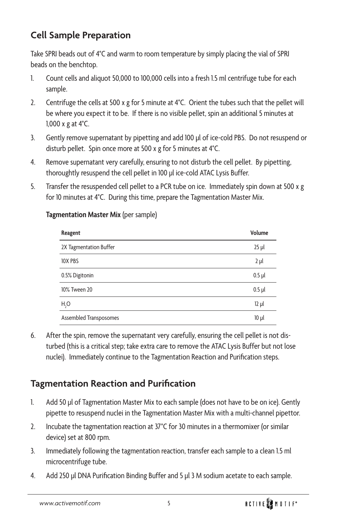## **Cell Sample Preparation**

Take SPRI beads out of 4°C and warm to room temperature by simply placing the vial of SPRI beads on the benchtop.

- 1. Count cells and aliquot 50,000 to 100,000 cells into a fresh 1.5 ml centrifuge tube for each sample.
- 2. Centrifuge the cells at 500 x g for 5 minute at 4°C. Orient the tubes such that the pellet will be where you expect it to be. If there is no visible pellet, spin an additional 5 minutes at 1,000 x g at 4°C.
- 3. Gently remove supernatant by pipetting and add 100 µl of ice-cold PBS. Do not resuspend or disturb pellet. Spin once more at 500 x g for 5 minutes at 4°C.
- 4. Remove supernatant very carefully, ensuring to not disturb the cell pellet. By pipetting, thoroughtly resuspend the cell pellet in 100 µl ice-cold ATAC Lysis Buffer.
- 5. Transfer the resuspended cell pellet to a PCR tube on ice. Immediately spin down at 500 x g for 10 minutes at 4°C. During this time, prepare the Tagmentation Master Mix.

| Reagent                | Volume     |
|------------------------|------------|
| 2X Tagmentation Buffer | $25$ µ     |
| <b>10X PBS</b>         | $2 \mu l$  |
| 0.5% Digitonin         | $0.5$ µl   |
| 10% Tween 20           | $0.5$ µl   |
| $H_2O$                 | $12 \mu l$ |
| Assembled Transposomes | $10 \mu$   |

### **Tagmentation Master Mix** (per sample)

6. After the spin, remove the supernatant very carefully, ensuring the cell pellet is not disturbed (this is a critical step; take extra care to remove the ATAC Lysis Buffer but not lose nuclei). Immediately continue to the Tagmentation Reaction and Purification steps.

## **Tagmentation Reaction and Purification**

- 1. Add 50 µl of Tagmentation Master Mix to each sample (does not have to be on ice). Gently pipette to resuspend nuclei in the Tagmentation Master Mix with a multi-channel pipettor.
- 2. Incubate the tagmentation reaction at 37°C for 30 minutes in a thermomixer (or similar device) set at 800 rpm.
- 3. Immediately following the tagmentation reaction, transfer each sample to a clean 1.5 ml microcentrifuge tube.
- 4. Add 250 µl DNA Purification Binding Buffer and 5 µl 3 M sodium acetate to each sample.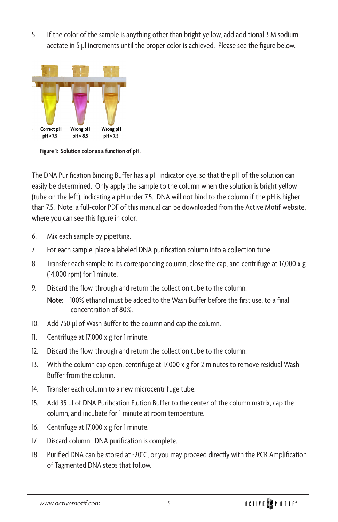5. If the color of the sample is anything other than bright yellow, add additional 3 M sodium acetate in 5 µl increments until the proper color is achieved. Please see the figure below.



**Figure 1: Solution color as a function of pH.**

The DNA Purification Binding Buffer has a pH indicator dye, so that the pH of the solution can easily be determined. Only apply the sample to the column when the solution is bright yellow (tube on the left), indicating a pH under 7.5. DNA will not bind to the column if the pH is higher than 7.5. Note: a full-color PDF of this manual can be downloaded from the Active Motif website, where you can see this figure in color.

- 6. Mix each sample by pipetting.
- 7. For each sample, place a labeled DNA purification column into a collection tube.
- 8 Transfer each sample to its corresponding column, close the cap, and centrifuge at 17,000 x g (14,000 rpm) for 1 minute.
- 9. Discard the flow-through and return the collection tube to the column.

**Note:** 100% ethanol must be added to the Wash Buffer before the first use, to a final concentration of 80%.

- 10. Add 750 µl of Wash Buffer to the column and cap the column.
- 11. Centrifuge at 17,000 x g for 1 minute.
- 12. Discard the flow-through and return the collection tube to the column.
- 13. With the column cap open, centrifuge at 17,000 x g for 2 minutes to remove residual Wash Buffer from the column.
- 14. Transfer each column to a new microcentrifuge tube.
- 15. Add 35 µl of DNA Purification Elution Buffer to the center of the column matrix, cap the column, and incubate for 1 minute at room temperature.
- 16. Centrifuge at 17,000 x g for 1 minute.
- 17. Discard column. DNA purification is complete.
- 18. Purified DNA can be stored at -20°C, or you may proceed directly with the PCR Amplification of Tagmented DNA steps that follow.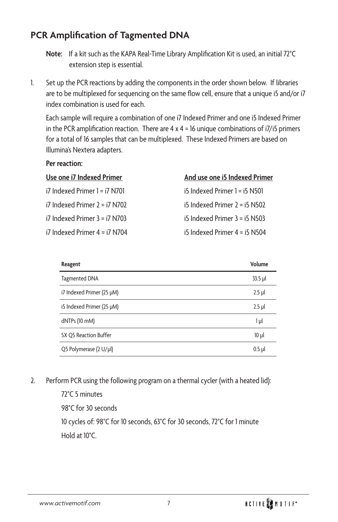## **PCR Amplification of Tagmented DNA**

**Note:** If a kit such as the KAPA Real-Time Library Amplification Kit is used, an initial 72°C extension step is essential.

1. Set up the PCR reactions by adding the components in the order shown below. If libraries are to be multiplexed for sequencing on the same flow cell, ensure that a unique i5 and/or i7 index combination is used for each.

Each sample will require a combination of one i7 Indexed Primer and one i5 Indexed Primer in the PCR amplification reaction. There are  $4 \times 4 = 16$  unique combinations of  $i7/i5$  primers for a total of 16 samples that can be multiplexed. These Indexed Primers are based on Illumina's Nextera adapters.

#### **Per reaction:**

| Use one i7 Indexed Primer         | And use one i5 Indexed Primer     |
|-----------------------------------|-----------------------------------|
| $i7$ Indexed Primer $l = i7$ N701 | $i5$ Indexed Primer $1 = i5$ N501 |
| $i7$ Indexed Primer $2 = i7$ N702 | $i5$ Indexed Primer $2 = i5$ N502 |
| $i7$ Indexed Primer $3 = i7$ N703 | $i5$ Indexed Primer $3 = i5$ N503 |
| $i7$ Indexed Primer $4 = i7$ N704 | $i5$ Indexed Primer $4 = i5$ N504 |

| Reagent                   | Volume    |
|---------------------------|-----------|
| <b>Tagmented DNA</b>      | $33.5$ µl |
| i7 Indexed Primer (25 µM) | $2.5$ µl  |
| i5 Indexed Primer (25 µM) | $2.5$ µl  |
| dNTPs (10 mM)             | 1 µl      |
| 5X Q5 Reaction Buffer     | $10 \mu$  |
| Q5 Polymerase (2 U/µl)    | $0.5$ µl  |

2. Perform PCR using the following program on a thermal cycler (with a heated lid):

72°C 5 minutes 98°C for 30 seconds 10 cycles of: 98°C for 10 seconds, 63°C for 30 seconds, 72°C for 1 minute Hold at 10°C.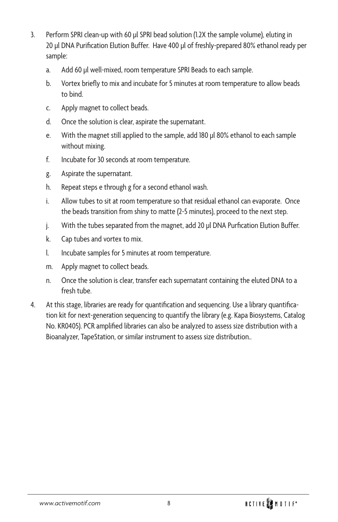- 3. Perform SPRI clean-up with 60 µl SPRI bead solution (1.2X the sample volume), eluting in 20 µl DNA Purification Elution Buffer. Have 400 µl of freshly-prepared 80% ethanol ready per sample:
	- a. Add 60 µl well-mixed, room temperature SPRI Beads to each sample.
	- b. Vortex briefly to mix and incubate for 5 minutes at room temperature to allow beads to bind.
	- c. Apply magnet to collect beads.
	- d. Once the solution is clear, aspirate the supernatant.
	- e. With the magnet still applied to the sample, add 180 µl 80% ethanol to each sample without mixing.
	- f. Incubate for 30 seconds at room temperature.
	- g. Aspirate the supernatant.
	- h. Repeat steps e through g for a second ethanol wash.
	- i. Allow tubes to sit at room temperature so that residual ethanol can evaporate. Once the beads transition from shiny to matte (2-5 minutes), proceed to the next step.
	- j. With the tubes separated from the magnet, add 20 µl DNA Purfication Elution Buffer.
	- k. Cap tubes and vortex to mix.
	- l. Incubate samples for 5 minutes at room temperature.
	- m. Apply magnet to collect beads.
	- n. Once the solution is clear, transfer each supernatant containing the eluted DNA to a fresh tube.
- 4. At this stage, libraries are ready for quantification and sequencing. Use a library quantification kit for next-generation sequencing to quantify the library (e.g. Kapa Biosystems, Catalog No. KR0405). PCR amplified libraries can also be analyzed to assess size distribution with a Bioanalyzer, TapeStation, or similar instrument to assess size distribution..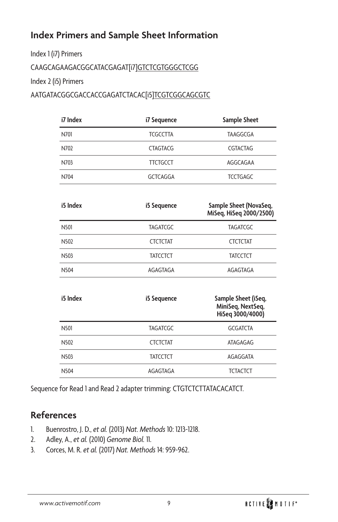## **Index Primers and Sample Sheet Information**

Index 1 (i7) Primers

CAAGCAGAAGACGGCATACGAGAT[i7]GTCTCGTGGGCTCGG

Index 2 (i5) Primers

AATGATACGGCGACCACCGAGATCTACAC[i5]TCGTCGGCAGCGTC

| i7 Index | i7 Sequence                        | Sample Sheet                                                 |  |
|----------|------------------------------------|--------------------------------------------------------------|--|
| N701     | <b>TCGCCTTA</b>                    | <b>TAAGGCGA</b>                                              |  |
| N702     | <b>CTAGTACG</b>                    | <b>CGTACTAG</b>                                              |  |
| N703     | <b>TTCTGCCT</b>                    | AGGCAGAA                                                     |  |
| N704     | <b>GCTCAGGA</b>                    | <b>TCCTGAGC</b>                                              |  |
| i5 Index | i5 Sequence                        | Sample Sheet (NovaSeq,<br>MiSeq, HiSeq 2000/2500)            |  |
| N501     | <b>TAGATCGC</b>                    | <b>TAGATCGC</b>                                              |  |
| N502     | <b>CTCTCTAT</b>                    | <b>CTCTCTAT</b>                                              |  |
| N503     | <b>TATCCTCT</b>                    | <b>TATCCTCT</b>                                              |  |
| N504     | AGAGTAGA                           | AGAGTAGA                                                     |  |
| i5 Index | i5 Sequence                        | Sample Sheet (iSeq,<br>MiniSeq, NextSeq,<br>HiSeq 3000/4000) |  |
| N501     | <b>GCGATCTA</b><br><b>TAGATCGC</b> |                                                              |  |
| N502     | <b>CTCTCTAT</b>                    | ATAGAGAG                                                     |  |
| N503     | <b>TATCCTCT</b>                    | AGAGGATA                                                     |  |
| N504     | AGAGTAGA                           | <b>TCTACTCT</b>                                              |  |

Sequence for Read 1 and Read 2 adapter trimming: CTGTCTCTTATACACATCT.

## **References**

- 1. Buenrostro, J. D., *et al.* (2013) *Nat. Methods* 10: 1213-1218.
- 2. Adley, A., *et al.* (2010) *Genome Biol.* 11.
- 3. Corces, M. R. *et al.* (2017) *Nat. Methods* 14: 959-962.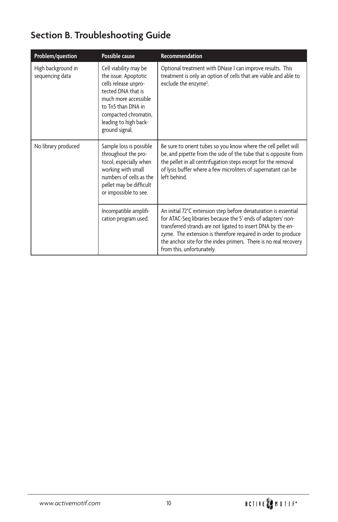# **Section B. Troubleshooting Guide**

| Problem/question                      | Possible cause                                                                                                                                                                                               | Recommendation                                                                                                                                                                                                                                                                                                                                                    |
|---------------------------------------|--------------------------------------------------------------------------------------------------------------------------------------------------------------------------------------------------------------|-------------------------------------------------------------------------------------------------------------------------------------------------------------------------------------------------------------------------------------------------------------------------------------------------------------------------------------------------------------------|
| High background in<br>sequencing data | Cell viability may be<br>the issue. Apoptotic<br>cells release unpro-<br>tected DNA that is<br>much more accessible<br>to Tn5 than DNA in<br>compacted chromatin,<br>leading to high back-<br>ground signal. | Optional treatment with DNase I can improve results. This<br>treatment is only an option of cells that are viable and able to<br>exclude the enzyme <sup>3</sup> .                                                                                                                                                                                                |
| No library produced                   | Sample loss is possible<br>throughout the pro-<br>tocol, especially when<br>working with small<br>numbers of cells as the<br>pellet may be difficult<br>or impossible to see.                                | Be sure to orient tubes so you know where the cell pellet will<br>be, and pipette from the side of the tube that is opposite from<br>the pellet in all centrifugation steps except for the removal<br>of lysis buffer where a few microliters of supernatant can be<br>left behind                                                                                |
|                                       | Incompatible amplifi-<br>cation program used.                                                                                                                                                                | An initial 72°C extension step before denaturation is essential<br>for ATAC-Seq libraries because the 5' ends of adapters' non-<br>transferred strands are not ligated to insert DNA by the en-<br>zyme. The extension is therefore required in order to produce<br>the anchor site for the index primers. There is no real recovery<br>from this, unfortunately. |